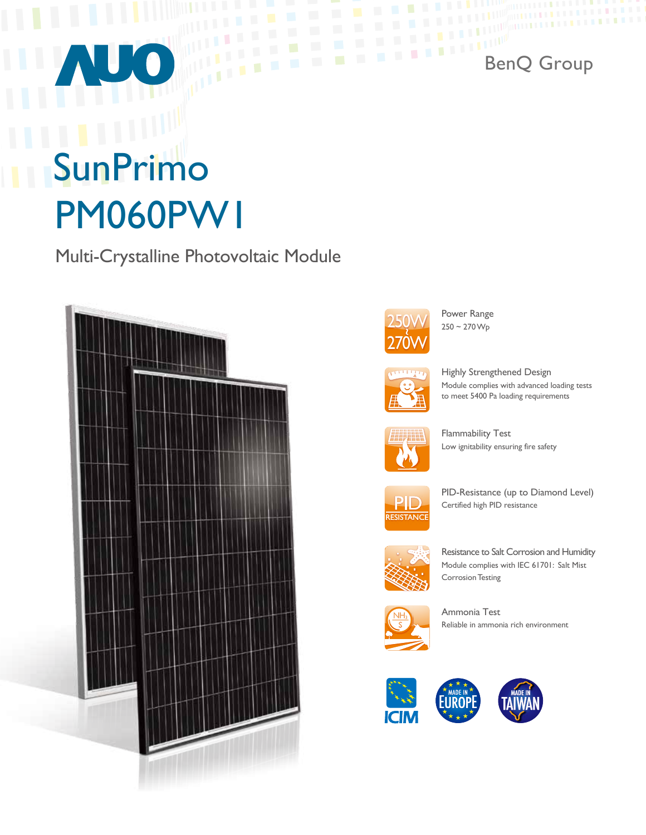# SunPrimo PM060PW1

Multi-Crystalline Photovoltaic Module





Power Range<br> $250 \sim 270 \,\mathrm{Wp}$ 

BenQ Group



Highly Strengthened Design Module complies with advanced loading tests to meet 5400 Pa loading requirements



Flammability Test Low ignitability ensuring fire safety



PID-Resistance (up to Diamond Level) Certified high PID resistance



Resistance to Salt Corrosion and Humidity Module complies with IEC 61701: Salt Mist **Corrosion Testing** 



Ammonia Test Reliable in ammonia rich environment